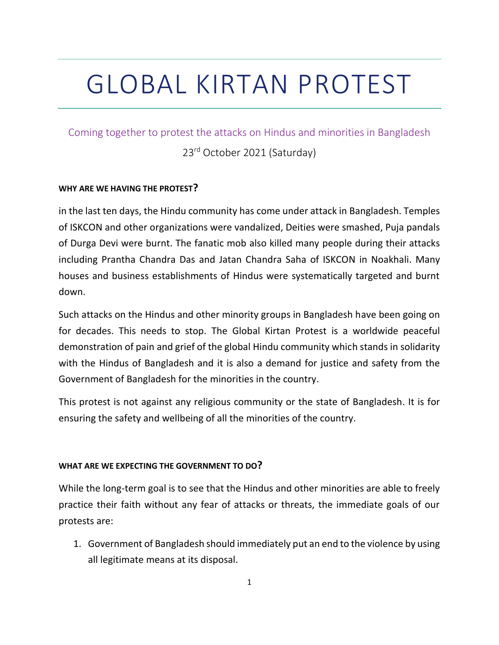# GLOBAL KIRTAN PROTEST

Coming together to protest the attacks on Hindus and minorities in Bangladesh

23rd October 2021 (Saturday)

#### **WHY ARE WE HAVING THE PROTEST?**

in the last ten days, the Hindu community has come under attack in Bangladesh. Temples of ISKCON and other organizations were vandalized, Deities were smashed, Puja pandals of Durga Devi were burnt. The fanatic mob also killed many people during their attacks including Prantha Chandra Das and Jatan Chandra Saha of ISKCON in Noakhali. Many houses and business establishments of Hindus were systematically targeted and burnt down.

Such attacks on the Hindus and other minority groups in Bangladesh have been going on for decades. This needs to stop. The Global Kirtan Protest is a worldwide peaceful demonstration of pain and grief of the global Hindu community which stands in solidarity with the Hindus of Bangladesh and it is also a demand for justice and safety from the Government of Bangladesh for the minorities in the country.

This protest is not against any religious community or the state of Bangladesh. It is for ensuring the safety and wellbeing of all the minorities of the country.

#### **WHAT ARE WE EXPECTING THE GOVERNMENT TO DO?**

While the long-term goal is to see that the Hindus and other minorities are able to freely practice their faith without any fear of attacks or threats, the immediate goals of our protests are:

1. Government of Bangladesh should immediately put an end to the violence by using all legitimate means at its disposal.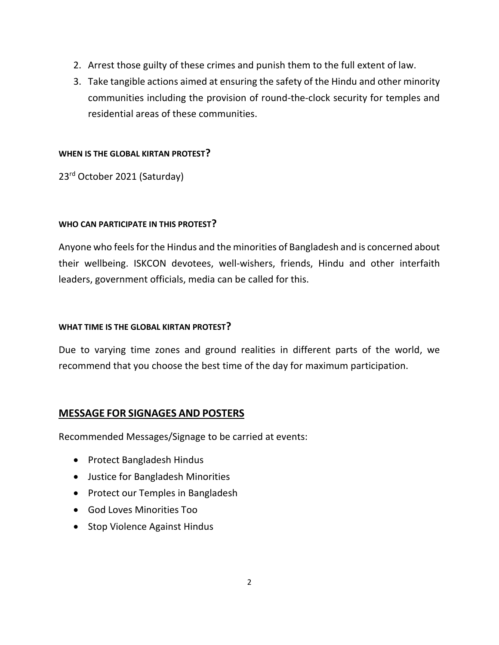- 2. Arrest those guilty of these crimes and punish them to the full extent of law.
- 3. Take tangible actions aimed at ensuring the safety of the Hindu and other minority communities including the provision of round-the-clock security for temples and residential areas of these communities.

#### **WHEN IS THE GLOBAL KIRTAN PROTEST?**

23rd October 2021 (Saturday)

### **WHO CAN PARTICIPATE IN THIS PROTEST?**

Anyone who feels for the Hindus and the minorities of Bangladesh and is concerned about their wellbeing. ISKCON devotees, well-wishers, friends, Hindu and other interfaith leaders, government officials, media can be called for this.

#### **WHAT TIME IS THE GLOBAL KIRTAN PROTEST?**

Due to varying time zones and ground realities in different parts of the world, we recommend that you choose the best time of the day for maximum participation.

## **MESSAGE FOR SIGNAGES AND POSTERS**

Recommended Messages/Signage to be carried at events:

- Protect Bangladesh Hindus
- Justice for Bangladesh Minorities
- Protect our Temples in Bangladesh
- God Loves Minorities Too
- Stop Violence Against Hindus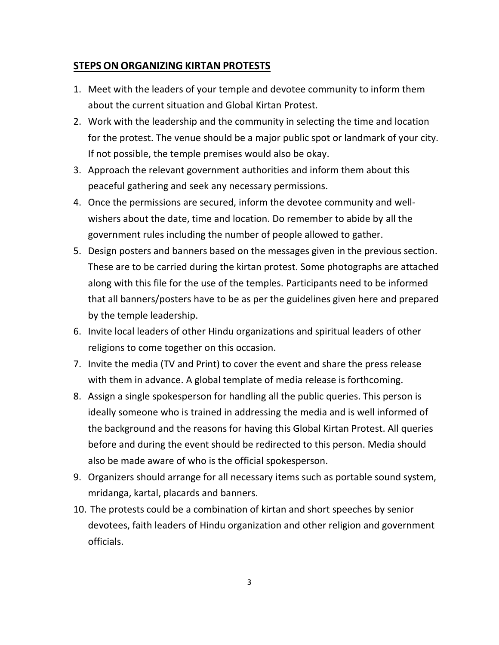## **STEPS ON ORGANIZING KIRTAN PROTESTS**

- 1. Meet with the leaders of your temple and devotee community to inform them about the current situation and Global Kirtan Protest.
- 2. Work with the leadership and the community in selecting the time and location for the protest. The venue should be a major public spot or landmark of your city. If not possible, the temple premises would also be okay.
- 3. Approach the relevant government authorities and inform them about this peaceful gathering and seek any necessary permissions.
- 4. Once the permissions are secured, inform the devotee community and wellwishers about the date, time and location. Do remember to abide by all the government rules including the number of people allowed to gather.
- 5. Design posters and banners based on the messages given in the previous section. These are to be carried during the kirtan protest. Some photographs are attached along with this file for the use of the temples. Participants need to be informed that all banners/posters have to be as per the guidelines given here and prepared by the temple leadership.
- 6. Invite local leaders of other Hindu organizations and spiritual leaders of other religions to come together on this occasion.
- 7. Invite the media (TV and Print) to cover the event and share the press release with them in advance. A global template of media release is forthcoming.
- 8. Assign a single spokesperson for handling all the public queries. This person is ideally someone who is trained in addressing the media and is well informed of the background and the reasons for having this Global Kirtan Protest. All queries before and during the event should be redirected to this person. Media should also be made aware of who is the official spokesperson.
- 9. Organizers should arrange for all necessary items such as portable sound system, mridanga, kartal, placards and banners.
- 10. The protests could be a combination of kirtan and short speeches by senior devotees, faith leaders of Hindu organization and other religion and government officials.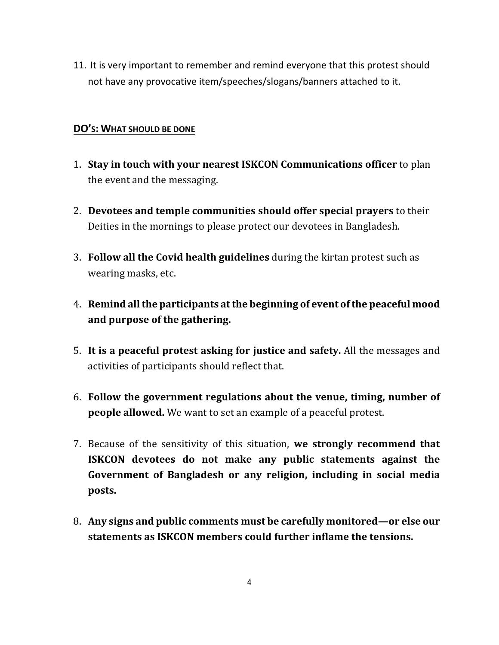11. It is very important to remember and remind everyone that this protest should not have any provocative item/speeches/slogans/banners attached to it.

## **DO'S: WHAT SHOULD BE DONE**

- 1. **Stay in touch with your nearest ISKCON Communications officer** to plan the event and the messaging.
- 2. **Devotees and temple communities should offer special prayers** to their Deities in the mornings to please protect our devotees in Bangladesh.
- 3. **Follow all the Covid health guidelines** during the kirtan protest such as wearing masks, etc.
- 4. **Remind all the participants at the beginning of event of the peaceful mood and purpose of the gathering.**
- 5. **It is a peaceful protest asking for justice and safety.** All the messages and activities of participants should reflect that.
- 6. **Follow the government regulations about the venue, timing, number of people allowed.** We want to set an example of a peaceful protest.
- 7. Because of the sensitivity of this situation, **we strongly recommend that ISKCON devotees do not make any public statements against the Government of Bangladesh or any religion, including in social media posts.**
- 8. **Any signs and public comments must be carefully monitored—or else our statements as ISKCON members could further inflame the tensions.**